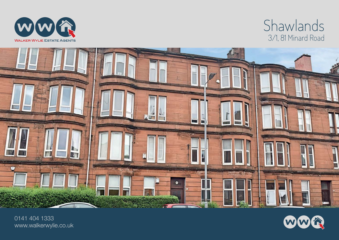

## Shawlands 3/1, 81 Minard Road



0141 404 1333 www.walkerwylie.co.uk

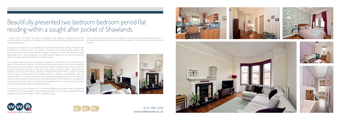# Beautifully presented two bedroom bedroom period flat residing within a sought after pocket of Shawlands

Located within the heart of vibrant Shawlands and offering beautifully presented Finally, particular attention should be drawn to the property's exact positioning, with a accommodation throughout, this classic two bedroom period flat retaining the all important Morrisons Supermarket and Crossmyloof train station a mere two minutes walk from the dining sized kitchen.

Positioned on the top floor of a traditional red sandstone tenement building, the apartment benefits from a secure door entry system, new gas fired central heating system with combination boiler and double glazed windows throughout. While externally, this stylish flat benefits from a well maintained communal resident's garden to the rear of the building which provides both drying facilities and refuse stores.

In summary, this is a fine example of a traditional Glasgow tenement which is presented to market in turn key condition and is pitched perfectly for the young professional buyer seeking period accommodation within a fantastic locale.

The enclosed floor plan and photographs provide an indication of the overall size and layout of the property, however in brief the accommodation extends to: entrance vestibule accessed via twin storm doors; inviting reception hallway with large walk-in store cupboard; naturally bright and spacious lounge with classic bay window formation, original period fireplace and large open recess; generous dining kitchen fitted with a range of quality wall and base mounted units and complimented by a selection of appliances while still retaining space for a dining table and chairs; spacious double bedroom to the front with space for free standing furniture; second double bedroom to the rear and to complete the overall accommodation there is a well appointed galley bathroom comprising a three piece suite with shower over bath and splashback tiling.

property.





0141 404 1333 www.walkerwylie.co.uk